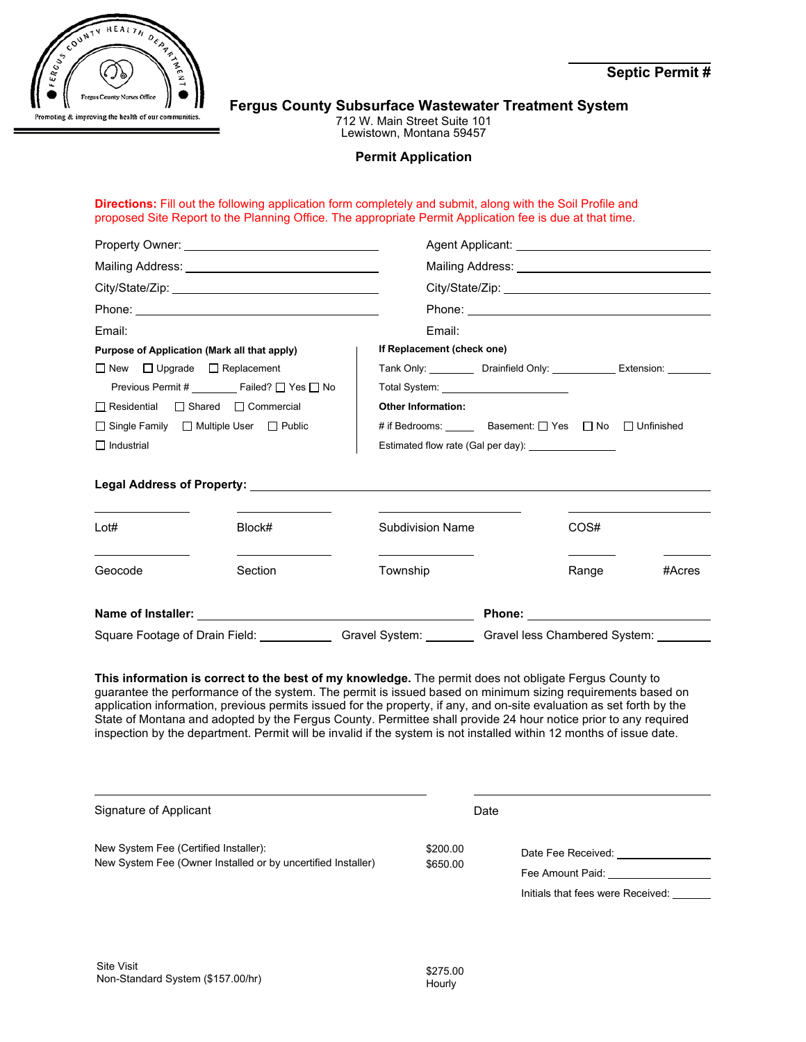

**Septic Permit #** 

### **Fergus County Subsurface Wastewater Treatment System**

712 W. Main Street Suite 101 Lewistown, Montana 59457

#### **Permit Application**

#### **Directions:** Fill out the following application form completely and submit, along with the Soil Profile and proposed Site Report to the Planning Office. The appropriate Permit Application fee is due at that time.

| Email:                                                  |                                                         | Email:                                   |                                                         |                                                                            |  |  |
|---------------------------------------------------------|---------------------------------------------------------|------------------------------------------|---------------------------------------------------------|----------------------------------------------------------------------------|--|--|
| Purpose of Application (Mark all that apply)            |                                                         | If Replacement (check one)               |                                                         |                                                                            |  |  |
| $\Box$ New $\Box$ Upgrade $\Box$ Replacement            |                                                         |                                          |                                                         | Tank Only: ___________ Drainfield Only: ______________ Extension: ________ |  |  |
| Previous Permit # ________ Failed? □ Yes □ No           |                                                         | Total System: __________________________ |                                                         |                                                                            |  |  |
| Residential Shared Commercial                           |                                                         | <b>Other Information:</b>                |                                                         |                                                                            |  |  |
| $\Box$ Single Family $\Box$ Multiple User $\Box$ Public |                                                         |                                          | # if Bedrooms: ______ Basement: 2 Yes 2 No 2 Unfinished |                                                                            |  |  |
| $\Box$ Industrial                                       |                                                         |                                          | Estimated flow rate (Gal per day):                      |                                                                            |  |  |
|                                                         |                                                         |                                          |                                                         |                                                                            |  |  |
| Lot#                                                    | Block#                                                  | <b>Subdivision Name</b>                  | COS#                                                    |                                                                            |  |  |
| Geocode                                                 | the control of the control of the control of<br>Section | Township                                 |                                                         | Range<br>#Acres                                                            |  |  |
|                                                         |                                                         |                                          |                                                         |                                                                            |  |  |
| Square Footage of Drain Field: ___________              |                                                         | Gravel System: ________                  | Gravel less Chambered System: _____                     |                                                                            |  |  |

**This information is correct to the best of my knowledge.** The permit does not obligate Fergus County to guarantee the performance of the system. The permit is issued based on minimum sizing requirements based on application information, previous permits issued for the property, if any, and on-site evaluation as set forth by the State of Montana and adopted by the Fergus County. Permittee shall provide 24 hour notice prior to any required inspection by the department. Permit will be invalid if the system is not installed within 12 months of issue date.

| Signature of Applicant                                                                                | Date                 |                                                                             |
|-------------------------------------------------------------------------------------------------------|----------------------|-----------------------------------------------------------------------------|
| New System Fee (Certified Installer):<br>New System Fee (Owner Installed or by uncertified Installer) | \$200.00<br>\$650.00 | Date Fee Received:<br>Fee Amount Paid:<br>Initials that fees were Received: |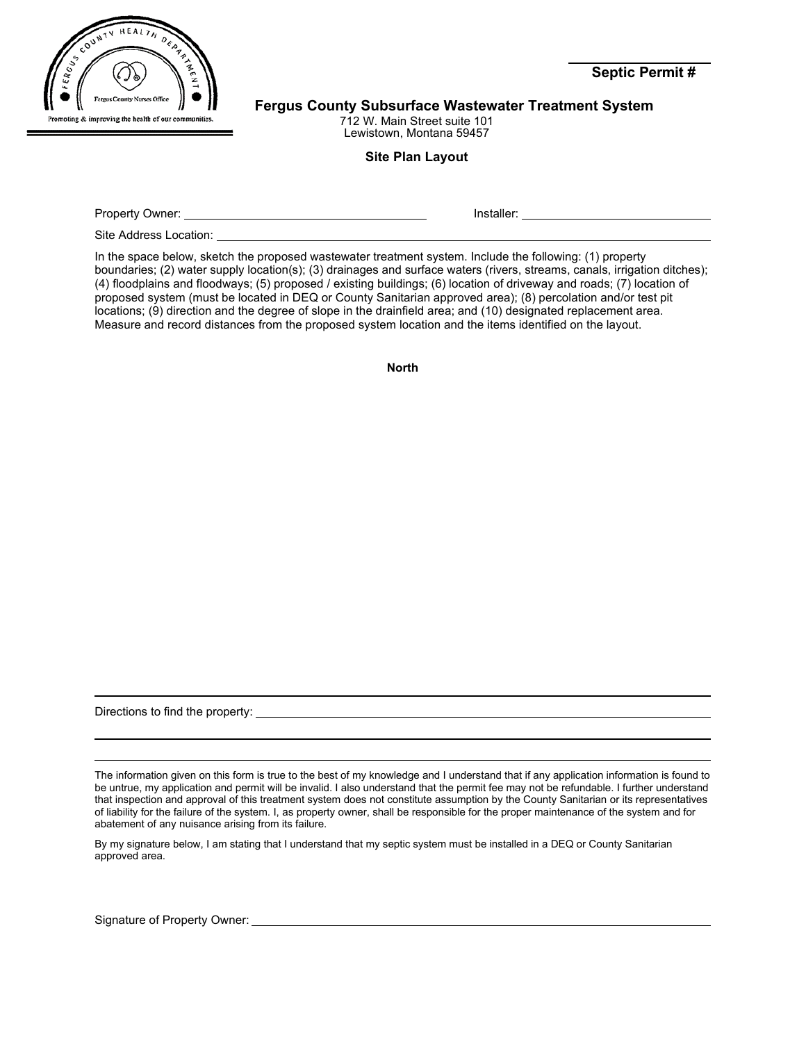

**Fergus County Subsurface Wastewater Treatment System** 

712 W. Main Street suite 101 Lewistown, Montana 59457

## **Site Plan Layout**

| Property Owner: | $\mathbf{H}$ and $\mathbf{H}$<br>эне. |  |
|-----------------|---------------------------------------|--|
|                 |                                       |  |

Site Address Location:

In the space below, sketch the proposed wastewater treatment system. Include the following: (1) property boundaries; (2) water supply location(s); (3) drainages and surface waters (rivers, streams, canals, irrigation ditches); (4) floodplains and floodways; (5) proposed / existing buildings; (6) location of driveway and roads; (7) location of proposed system (must be located in DEQ or County Sanitarian approved area); (8) percolation and/or test pit locations; (9) direction and the degree of slope in the drainfield area; and (10) designated replacement area. Measure and record distances from the proposed system location and the items identified on the layout.

**North**

Directions to find the property:

The information given on this form is true to the best of my knowledge and I understand that if any application information is found to be untrue, my application and permit will be invalid. I also understand that the permit fee may not be refundable. I further understand that inspection and approval of this treatment system does not constitute assumption by the County Sanitarian or its representatives of liability for the failure of the system. I, as property owner, shall be responsible for the proper maintenance of the system and for abatement of any nuisance arising from its failure.

By my signature below, I am stating that I understand that my septic system must be installed in a DEQ or County Sanitarian approved area.

Signature of Property Owner:

**Septic Permit #**